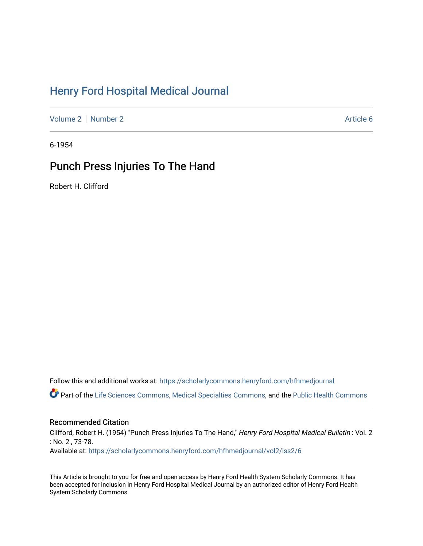# [Henry Ford Hospital Medical Journal](https://scholarlycommons.henryford.com/hfhmedjournal)

[Volume 2](https://scholarlycommons.henryford.com/hfhmedjournal/vol2) [Number 2](https://scholarlycommons.henryford.com/hfhmedjournal/vol2/iss2) Article 6

6-1954

## Punch Press Injuries To The Hand

Robert H. Clifford

Follow this and additional works at: [https://scholarlycommons.henryford.com/hfhmedjournal](https://scholarlycommons.henryford.com/hfhmedjournal?utm_source=scholarlycommons.henryford.com%2Fhfhmedjournal%2Fvol2%2Fiss2%2F6&utm_medium=PDF&utm_campaign=PDFCoverPages)

Part of the [Life Sciences Commons,](http://network.bepress.com/hgg/discipline/1016?utm_source=scholarlycommons.henryford.com%2Fhfhmedjournal%2Fvol2%2Fiss2%2F6&utm_medium=PDF&utm_campaign=PDFCoverPages) [Medical Specialties Commons](http://network.bepress.com/hgg/discipline/680?utm_source=scholarlycommons.henryford.com%2Fhfhmedjournal%2Fvol2%2Fiss2%2F6&utm_medium=PDF&utm_campaign=PDFCoverPages), and the [Public Health Commons](http://network.bepress.com/hgg/discipline/738?utm_source=scholarlycommons.henryford.com%2Fhfhmedjournal%2Fvol2%2Fiss2%2F6&utm_medium=PDF&utm_campaign=PDFCoverPages) 

## Recommended Citation

Clifford, Robert H. (1954) "Punch Press Injuries To The Hand," Henry Ford Hospital Medical Bulletin : Vol. 2 : No. 2 , 73-78. Available at: [https://scholarlycommons.henryford.com/hfhmedjournal/vol2/iss2/6](https://scholarlycommons.henryford.com/hfhmedjournal/vol2/iss2/6?utm_source=scholarlycommons.henryford.com%2Fhfhmedjournal%2Fvol2%2Fiss2%2F6&utm_medium=PDF&utm_campaign=PDFCoverPages) 

This Article is brought to you for free and open access by Henry Ford Health System Scholarly Commons. It has been accepted for inclusion in Henry Ford Hospital Medical Journal by an authorized editor of Henry Ford Health System Scholarly Commons.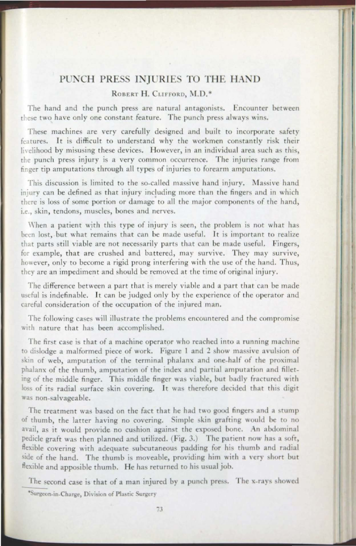### PUNCH PRESS INJURIES TO THE HAND

#### ROBERT H. CLIFFORD, M.D.\*

The hand and the punch press are natural antagonists. Encounter between these two have only one constant feature. The punch press always wins.

These machines are very carefully designed and built to incorporate safety features. It is difficult to understand why the workmen constantly risk their livelihood by misusing these devices. However, in an individual area such as this, the punch press injury is a very common occurrence. The injuries range from finger tip amputations through all types of injuries to forearm amputations.

This discussion is limited to the so-called massive hand injury. Massive hand injury can be defined as that injury including more than the fingers and in which there is loss of some portion or damage to all the major components of the hand, i.e., skin, tendons, muscles, bones and nerves.

When a patient with this type of injury is seen, the problem is not what has been lost, but what remains that can be made useful. It is important to realize that parts still viable are not necessarily parts that can be made useful. Fingers, for example, that are crushed and battered, may survive. They may survive, however, only to become a rigid prong interfering with the use of the hand. Thus, they are an impediment and should be removed at the time of original injury.

The difference between a part that is merely viable and a part that can be made useful is indefinable. It can be judged only by the experience of the operator and careful consideration of the occupation of the injured man.

The following cases will illustrate the problems encountered and the compromise with nature that has been accomplished.

The first case is that of a machine operator who reached into a running machine to dislodge a malformed piece of work. Figure 1 and 2 show massive avulsion of skin of web, amputation of the terminal phalanx and one-half of the proximal phalanx of the thumb, amputation of the index and partial amputation and filleting of the middle finger. This middle finger was viable, but badly fractured with loss of its radial surface skin covering. It was therefore decided that this digit was non-salvageable.

The treatment was based on the fact that he had two good fingers and a stump of thumb, the latter having no covering. Simple skin grafting would be to no avail, as it would provide no cushion against the exposed bone. An abdominal pedicle graft was then planned and utilized. (Fig. 3.) The patient now has a soft, flexible covering with adequate subcutaneous padding for his thumb and radial side of the hand. The thumb is moveable, providing him with a very short but flexible and apposible thumb. He has returned to his usual job.

The second case is that of a man injured by a punch press. The x-rays showed

\*Surgeon-in-Charge, Division of Plastic Surgery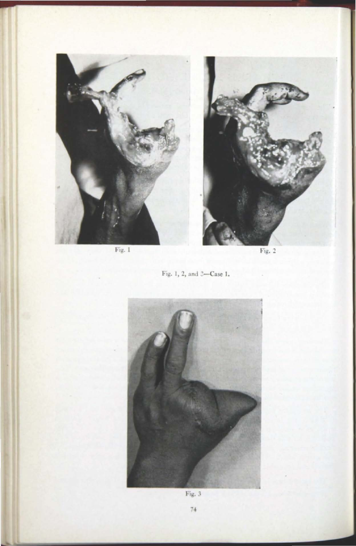

Fig. 1

Fig. 2





 $\ensuremath{\operatorname{Fig. 3}}\xspace$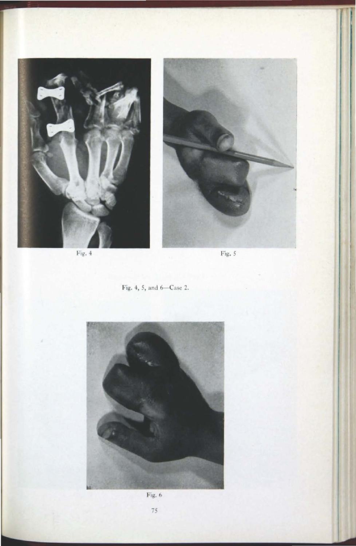

Fig.  $4$ 



 $Fig. 5$ 





Fig.  $6$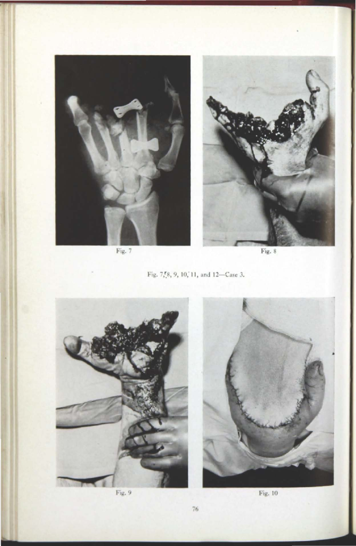

Fig. 7

Fig. 8

Fig. 7, 8, 9, 10, 11, and 12-Case 3.



Fig. 9



Fig.  $10$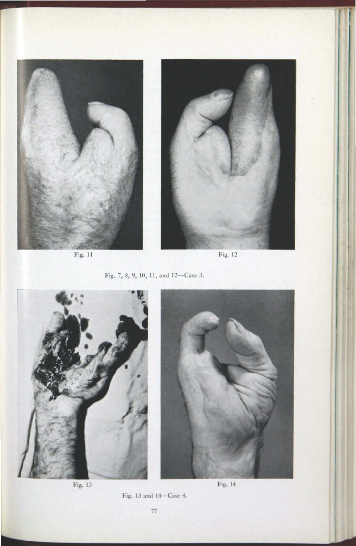

Fig. 11

Fig. 12





Fig. 13

 $Fig. 14$ 

Fig. 13 and 14-Case 4.